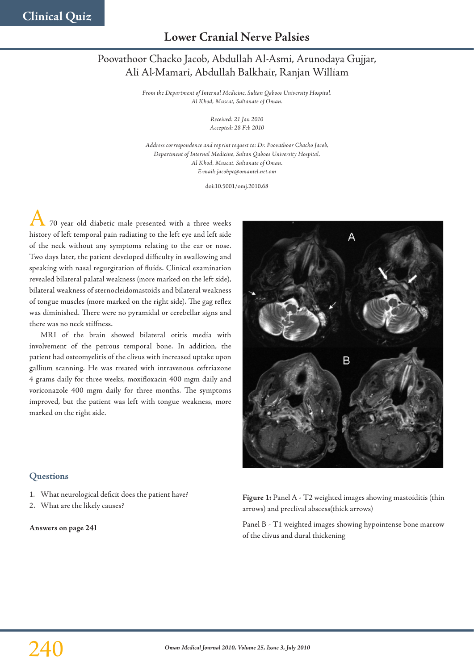# **Lower Cranial Nerve Palsies**

# Poovathoor Chacko Jacob, Abdullah Al-Asmi, Arunodaya Gujjar, Ali Al-Mamari, Abdullah Balkhair, Ranjan William

*From the Department of Internal Medicine, Sultan Qaboos University Hospital, Al Khod, Muscat, Sultanate of Oman.*

> *Received: 21 Jan 2010 Accepted: 28 Feb 2010*

*Address correspondence and reprint request to: Dr. Poovathoor Chacko Jacob, Department of Internal Medicine, Sultan Qaboos University Hospital, Al Khod, Muscat, Sultanate of Oman. E-mail: jacobpc@omantel.net.om*

doi:10.5001/omj.2010.68

70 year old diabetic male presented with a three weeks history of left temporal pain radiating to the left eye and left side of the neck without any symptoms relating to the ear or nose. Two days later, the patient developed difficulty in swallowing and speaking with nasal regurgitation of fluids. Clinical examination revealed bilateral palatal weakness (more marked on the left side), bilateral weakness of sternocleidomastoids and bilateral weakness of tongue muscles (more marked on the right side). The gag reflex was diminished. There were no pyramidal or cerebellar signs and there was no neck stiffness.

MRI of the brain showed bilateral otitis media with involvement of the petrous temporal bone. In addition, the patient had osteomyelitis of the clivus with increased uptake upon gallium scanning. He was treated with intravenous ceftriaxone 4 grams daily for three weeks, moxifloxacin 400 mgm daily and voriconazole 400 mgm daily for three months. The symptoms improved, but the patient was left with tongue weakness, more marked on the right side.



## **Questions**

- 1. What neurological deficit does the patient have?
- 2. What are the likely causes?

**Answers on page 241**

**Figure 1:** Panel A - T2 weighted images showing mastoiditis (thin arrows) and preclival abscess(thick arrows)

Panel B - T1 weighted images showing hypointense bone marrow of the clivus and dural thickening